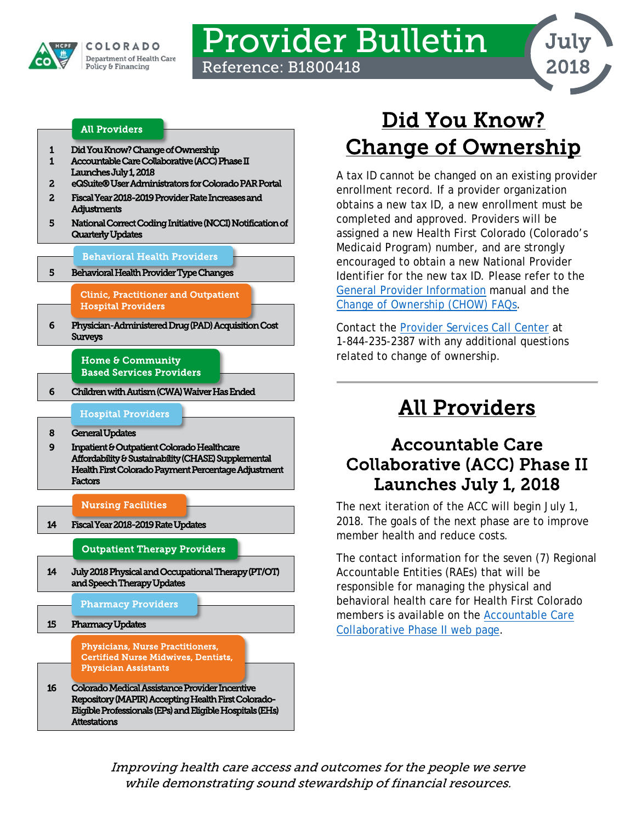

## Provider Bulletin Reference: B1800418



### [All Providers](#page-0-2)

- [1 Did You Know? Change of Ownership](#page-0-0)
- [1 Accountable Care Collaborative \(ACC\) Phase II](#page-0-1)  [Launches July 1, 2018](#page-0-1)
- [2 eQSuite® User Administrators for Colorado PAR Portal](#page-1-0)
- [2 Fiscal Year 2018-2019 Provider Rate Increases and](#page-1-1)  **Adjustments**
- [5 National Correct Coding Initiative \(NCCI\) Notification of](#page-4-0)  [Quarterly Updates](#page-4-0)

[Behavioral Health Providers](#page-4-2) 

[5 Behavioral Health Provider Type Changes](#page-4-1) 

[Clinic, Practitioner and Outpatient](#page-5-2)  [Hospital Providers](#page-5-2) 

[6 Physician-Administered Drug \(PAD\) Acquisition Cost](#page-5-0)  [Surveys](#page-5-0) 

> Home & Community [Based Services Providers](#page-5-3)

[6 Children with Autism \(CWA\) Waiver Has Ended](#page-5-1) 

#### [Hospital Providers](#page-7-1)

[8 General Updates](#page-7-0) 

[9 Inpatient & Outpatient Colorado Healthcare](#page-8-0)  [Affordability & Sustainability \(CHASE\) Supplemental](#page-8-0)  [Health First Colorado Payment Percentage Adjustment](#page-8-0)  [Factors](#page-8-0) 

#### [Nursing Facilities](#page-13-2)

[14 Fiscal Year 2018-2019 Rate Updates](#page-13-0) 

#### [Outpatient Therapy Providers](#page-13-3)

[14 July 2018 Physical and Occupational Therapy \(PT/OT\)](#page-13-1)  [and Speech Therapy Updates](#page-13-1) 



# <span id="page-0-0"></span>Did You Know? Change of Ownership

A tax ID cannot be changed on an existing provider enrollment record. If a provider organization obtains a new tax ID, a new enrollment must be completed and approved. Providers will be assigned a new Health First Colorado (Colorado's Medicaid Program) number, and are strongly encouraged to obtain a new National Provider Identifier for the new tax ID. Please refer to the [General Provider Information](https://www.colorado.gov/pacific/sites/default/files/General_Provider_Information%20v2_2.pdf) manual and the [Change of Ownership \(CHOW\) FAQs.](https://www.colorado.gov/pacific/hcpf/faq-central)

Contact the [Provider Services Call Center](https://www.colorado.gov/pacific/sites/default/files/Provider%20Call%20Center%20Cheat%20Sheet.pdf) at 1-844-235-2387 with any additional questions related to change of ownership.

# All Providers

### <span id="page-0-2"></span><span id="page-0-1"></span>Accountable Care Collaborative (ACC) Phase II Launches July 1, 2018

The next iteration of the ACC will begin July 1, 2018. The goals of the next phase are to improve member health and reduce costs.

The contact information for the seven (7) Regional Accountable Entities (RAEs) that will be responsible for managing the physical and behavioral health care for Health First Colorado members is available on the **Accountable Care** [Collaborative Phase II web page.](https://www.colorado.gov/HCPF/accphase2)

Improving health care access and outcomes for the people we serve while demonstrating sound stewardship of financial resources.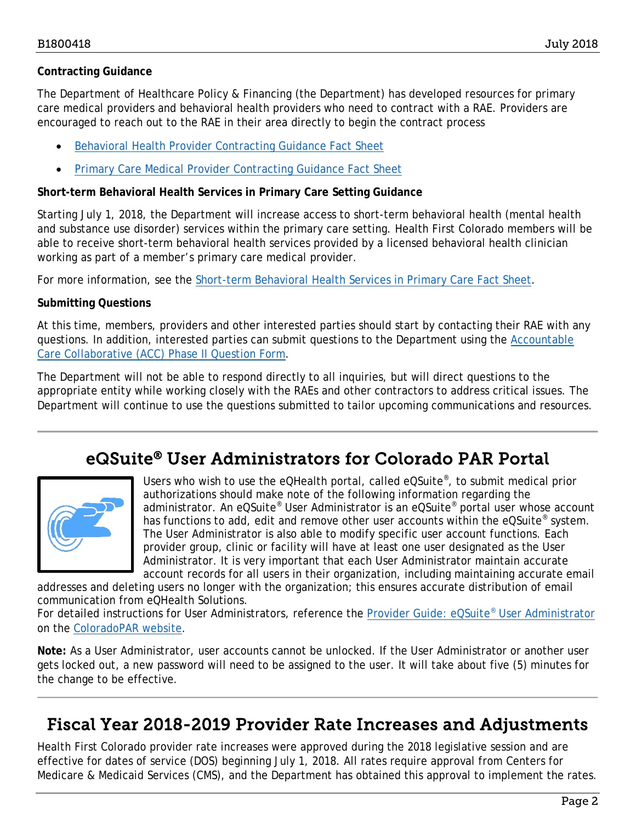### **Contracting Guidance**

The Department of Healthcare Policy & Financing (the Department) has developed resources for primary care medical providers and behavioral health providers who need to contract with a RAE. Providers are encouraged to reach out to the RAE in their area directly to begin the contract process

- [Behavioral Health Provider Contracting Guidance Fact Sheet](https://www.colorado.gov/pacific/sites/default/files/BH%20Provider%20Contracting%20Fact%20Sheet%20March%202018.pdf)
- [Primary Care Medical Provider Contracting Guidance Fact Sheet](https://www.colorado.gov/pacific/sites/default/files/PCMP%20Provider%20Contracting%20Fact%20Sheet%20May%2030%202018.pdf)

### **Short-term Behavioral Health Services in Primary Care Setting Guidance**

Starting July 1, 2018, the Department will increase access to short-term behavioral health (mental health and substance use disorder) services within the primary care setting. Health First Colorado members will be able to receive short-term behavioral health services provided by a licensed behavioral health clinician working as part of a member's primary care medical provider.

For more information, see the [Short-term Behavioral Health Services in Primary Care Fact Sheet.](https://www.colorado.gov/pacific/sites/default/files/Short-term%20Behavioral%20Health%20Services%20in%20Primary%20Care%20Fact%20Sheet%20June%202018.pdf)

### **Submitting Questions**

At this time, members, providers and other interested parties should start by contacting their RAE with any questions. In addition, interested parties can submit questions to the Department using the [Accountable](https://www.colorado.gov/hcpf/acc-phase-ii-question-form)  [Care Collaborative \(ACC\) Phase II Question Form.](https://www.colorado.gov/hcpf/acc-phase-ii-question-form)

The Department will not be able to respond directly to all inquiries, but will direct questions to the appropriate entity while working closely with the RAEs and other contractors to address critical issues. The Department will continue to use the questions submitted to tailor upcoming communications and resources.

### eQSuite® User Administrators for Colorado PAR Portal

<span id="page-1-0"></span>

Users who wish to use the eQHealth portal, called eQSuite®, to submit medical prior authorizations should make note of the following information regarding the administrator. An eQSuite® User Administrator is an eQSuite® portal user whose account has functions to add, edit and remove other user accounts within the eQSuite® system. The User Administrator is also able to modify specific user account functions. Each provider group, clinic or facility will have at least one user designated as the User Administrator. It is very important that each User Administrator maintain accurate account records for all users in their organization, including maintaining accurate email

addresses and deleting users no longer with the organization; this ensures accurate distribution of email communication from eQHealth Solutions.

For detailed instructions for User Administrators, reference the [Provider Guide: eQSuite](http://www.coloradopar.com/Portals/2/June%202016/eQSuite%20User%20Administrator%20Guide.pdf)® User Administrator on the [ColoradoPAR website.](http://www.coloradopar.com/)

**Note:** As a User Administrator, user accounts cannot be unlocked. If the User Administrator or another user gets locked out, a new password will need to be assigned to the user. It will take about five (5) minutes for the change to be effective.

### <span id="page-1-1"></span>Fiscal Year 2018-2019 Provider Rate Increases and Adjustments

Health First Colorado provider rate increases were approved during the 2018 legislative session and are effective for dates of service (DOS) beginning July 1, 2018. All rates require approval from Centers for Medicare & Medicaid Services (CMS), and the Department has obtained this approval to implement the rates.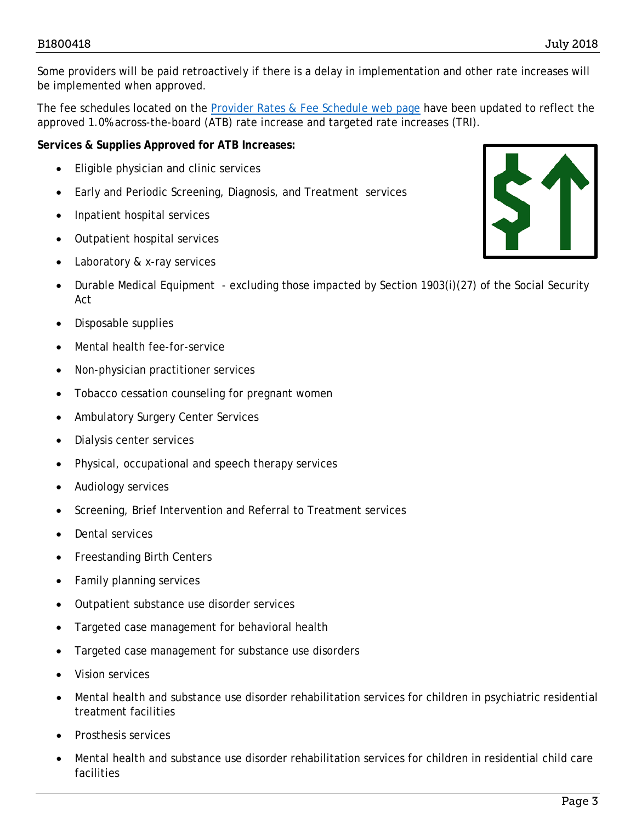### B1800418 July 2018

Some providers will be paid retroactively if there is a delay in implementation and other rate increases will be implemented when approved.

The fee schedules located on the [Provider Rates & Fee Schedule web page](https://www.colorado.gov/hcpf/provider-rates-fee-schedule) have been updated to reflect the approved 1.0% across-the-board (ATB) rate increase and targeted rate increases (TRI).

### **Services & Supplies Approved for ATB Increases:**

- Eligible physician and clinic services
- Early and Periodic Screening, Diagnosis, and Treatment services
- Inpatient hospital services
- Outpatient hospital services
- Laboratory & x-ray services
- Durable Medical Equipment excluding those impacted by Section 1903(i)(27) of the Social Security Act
- Disposable supplies
- Mental health fee-for-service
- Non-physician practitioner services
- Tobacco cessation counseling for pregnant women
- Ambulatory Surgery Center Services
- Dialysis center services
- Physical, occupational and speech therapy services
- Audiology services
- Screening, Brief Intervention and Referral to Treatment services
- Dental services
- Freestanding Birth Centers
- Family planning services
- Outpatient substance use disorder services
- Targeted case management for behavioral health
- Targeted case management for substance use disorders
- Vision services
- Mental health and substance use disorder rehabilitation services for children in psychiatric residential treatment facilities
- Prosthesis services
- Mental health and substance use disorder rehabilitation services for children in residential child care facilities

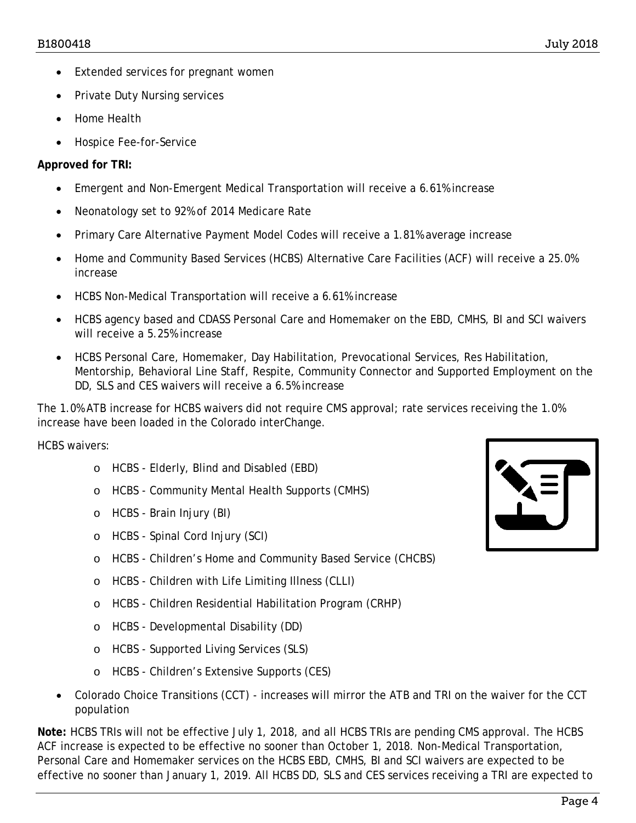- Extended services for pregnant women
- Private Duty Nursing services
- Home Health
- Hospice Fee-for-Service

### **Approved for TRI:**

- Emergent and Non-Emergent Medical Transportation will receive a 6.61% increase
- Neonatology set to 92% of 2014 Medicare Rate
- Primary Care Alternative Payment Model Codes will receive a 1.81% average increase
- Home and Community Based Services (HCBS) Alternative Care Facilities (ACF) will receive a 25.0% increase
- HCBS Non-Medical Transportation will receive a 6.61% increase
- HCBS agency based and CDASS Personal Care and Homemaker on the EBD, CMHS, BI and SCI waivers will receive a 5.25% increase
- HCBS Personal Care, Homemaker, Day Habilitation, Prevocational Services, Res Habilitation, Mentorship, Behavioral Line Staff, Respite, Community Connector and Supported Employment on the DD, SLS and CES waivers will receive a 6.5% increase

The 1.0% ATB increase for HCBS waivers did not require CMS approval; rate services receiving the 1.0% increase have been loaded in the Colorado interChange.

HCBS waivers:

- o HCBS Elderly, Blind and Disabled (EBD)
- o HCBS Community Mental Health Supports (CMHS)
- o HCBS Brain Injury (BI)
- o HCBS Spinal Cord Injury (SCI)
- o HCBS Children's Home and Community Based Service (CHCBS)
- o HCBS Children with Life Limiting Illness (CLLI)
- o HCBS Children Residential Habilitation Program (CRHP)
- o HCBS Developmental Disability (DD)
- o HCBS Supported Living Services (SLS)
- o HCBS Children's Extensive Supports (CES)
- Colorado Choice Transitions (CCT) increases will mirror the ATB and TRI on the waiver for the CCT population

**Note:** HCBS TRIs will not be effective July 1, 2018, and all HCBS TRIs are pending CMS approval. The HCBS ACF increase is expected to be effective no sooner than October 1, 2018. Non-Medical Transportation, Personal Care and Homemaker services on the HCBS EBD, CMHS, BI and SCI waivers are expected to be effective no sooner than January 1, 2019. All HCBS DD, SLS and CES services receiving a TRI are expected to

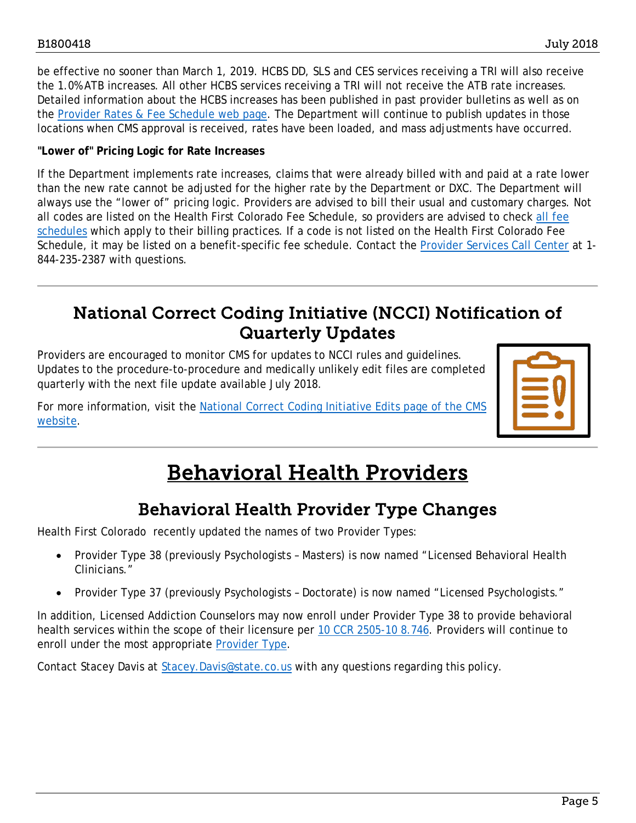be effective no sooner than March 1, 2019. HCBS DD, SLS and CES services receiving a TRI will also receive the 1.0% ATB increases. All other HCBS services receiving a TRI will not receive the ATB rate increases. Detailed information about the HCBS increases has been published in past provider bulletins as well as on the [Provider Rates & Fee Schedule web page.](https://www.colorado.gov/hcpf/provider-rates-fee-schedule) The Department will continue to publish updates in those locations when CMS approval is received, rates have been loaded, and mass adjustments have occurred.

### **"Lower of" Pricing Logic for Rate Increases**

If the Department implements rate increases, claims that were already billed with and paid at a rate lower than the new rate cannot be adjusted for the higher rate by the Department or DXC. The Department will always use the "lower of" pricing logic. Providers are advised to bill their usual and customary charges. Not all codes are listed on the Health First Colorado Fee Schedule, so providers are advised to check all fee [schedules](https://www.colorado.gov/hcpf/provider-rates-fee-schedule) which apply to their billing practices. If a code is not listed on the Health First Colorado Fee Schedule, it may be listed on a benefit-specific fee schedule. Contact the [Provider Services Call Center](https://www.colorado.gov/pacific/sites/default/files/Provider%20Call%20Center%20Cheat%20Sheet.pdf) at 1-844-235-2387 with questions.

### <span id="page-4-0"></span>National Correct Coding Initiative (NCCI) Notification of Quarterly Updates

Providers are encouraged to monitor CMS for updates to NCCI rules and guidelines. Updates to the procedure-to-procedure and medically unlikely edit files are completed quarterly with the next file update available July 2018.

<span id="page-4-2"></span>For more information, visit the National Correct Coding Initiative Edits page of the CMS [website.](https://www.cms.gov/Medicare/Coding/NationalCorrectCodInitEd/index.html)



## Behavioral Health Providers

## Behavioral Health Provider Type Changes

<span id="page-4-1"></span>Health First Colorado recently updated the names of two Provider Types:

- Provider Type 38 (previously Psychologists Masters) is now named "Licensed Behavioral Health Clinicians."
- Provider Type 37 (previously Psychologists Doctorate) is now named "Licensed Psychologists."

In addition, Licensed Addiction Counselors may now enroll under Provider Type 38 to provide behavioral health services within the scope of their licensure per [10 CCR 2505-10 8.746.](http://www.sos.state.co.us/CCR/GenerateRulePdf.do?ruleVersionId=7552&fileName=10%20CCR%202505-10%208.700) Providers will continue to enroll under the most appropriate [Provider Type.](https://www.colorado.gov/pacific/hcpf/information-provider-type)

Contact Stacey Davis at [Stacey.Davis@state.co.us](mailto:Stacey.Davis@state.co.us) with any questions regarding this policy.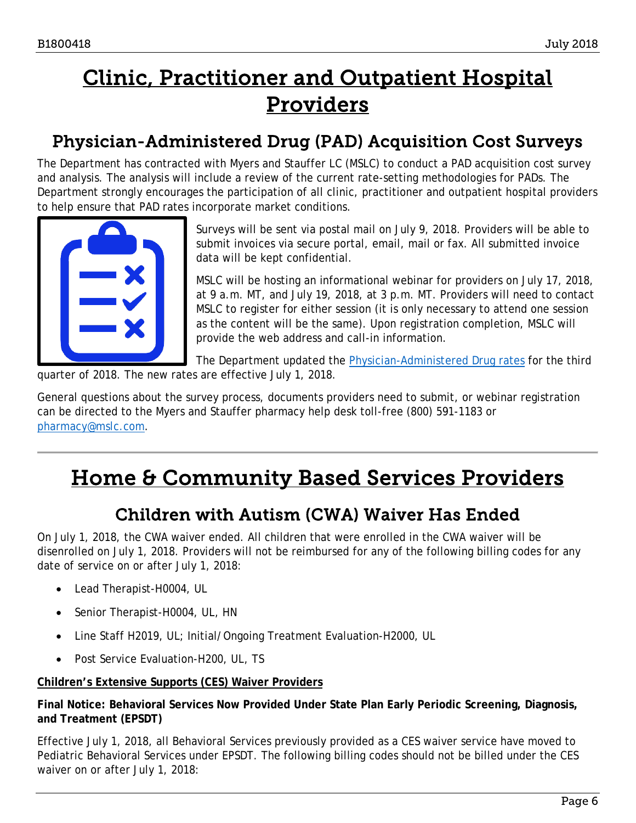# <span id="page-5-2"></span>Clinic, Practitioner and Outpatient Hospital Providers

## <span id="page-5-0"></span>Physician-Administered Drug (PAD) Acquisition Cost Surveys

The Department has contracted with Myers and Stauffer LC (MSLC) to conduct a PAD acquisition cost survey and analysis. The analysis will include a review of the current rate-setting methodologies for PADs. The Department strongly encourages the participation of all clinic, practitioner and outpatient hospital providers to help ensure that PAD rates incorporate market conditions.



Surveys will be sent via postal mail on July 9, 2018. Providers will be able to submit invoices via secure portal, email, mail or fax. All submitted invoice data will be kept confidential.

MSLC will be hosting an informational webinar for providers on July 17, 2018, at 9 a.m. MT, and July 19, 2018, at 3 p.m. MT. Providers will need to contact MSLC to register for either session (it is only necessary to attend one session as the content will be the same). Upon registration completion, MSLC will provide the web address and call-in information.

The Department updated the [Physician-Administered Drug rates](https://www.colorado.gov/pacific/sites/default/files/Physician-Administered%20Drug%20Fee%20Schedule%202018%2006%2022.xlsx) for the third quarter of 2018. The new rates are effective July 1, 2018.

General questions about the survey process, documents providers need to submit, or webinar registration can be directed to the Myers and Stauffer pharmacy help desk toll-free (800) 591-1183 or [pharmacy@mslc.com.](mailto:pharmacy@mslc.com)

## <span id="page-5-3"></span>Home & Community Based Services Providers

## Children with Autism (CWA) Waiver Has Ended

<span id="page-5-1"></span>On July 1, 2018, the CWA waiver ended. All children that were enrolled in the CWA waiver will be disenrolled on July 1, 2018. Providers will not be reimbursed for any of the following billing codes for any date of service on or after July 1, 2018:

- Lead Therapist-H0004, UL
- Senior Therapist-H0004, UL, HN
- Line Staff H2019, UL; Initial/Ongoing Treatment Evaluation-H2000, UL
- Post Service Evaluation-H200, UL, TS

### **Children's Extensive Supports (CES) Waiver Providers**

**Final Notice: Behavioral Services Now Provided Under State Plan Early Periodic Screening, Diagnosis, and Treatment (EPSDT)**

Effective July 1, 2018, all Behavioral Services previously provided as a CES waiver service have moved to Pediatric Behavioral Services under EPSDT. The following billing codes should not be billed under the CES waiver on or after July 1, 2018: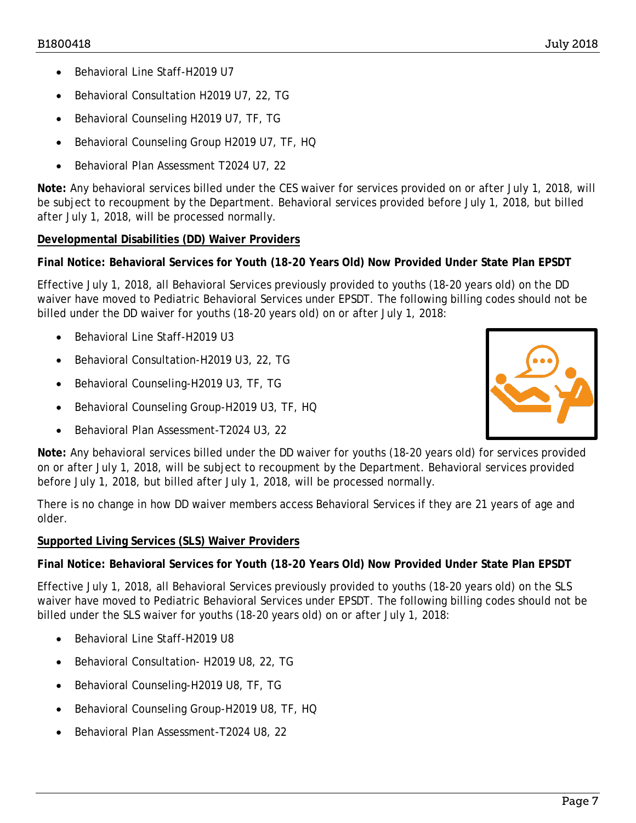- Behavioral Line Staff-H2019 U7
- Behavioral Consultation H2019 U7, 22, TG
- Behavioral Counseling H2019 U7, TF, TG
- Behavioral Counseling Group H2019 U7, TF, HQ
- Behavioral Plan Assessment T2024 U7, 22

**Note:** Any behavioral services billed under the CES waiver for services provided on or after July 1, 2018, will be subject to recoupment by the Department. Behavioral services provided before July 1, 2018, but billed after July 1, 2018, will be processed normally.

### **Developmental Disabilities (DD) Waiver Providers**

### **Final Notice: Behavioral Services for Youth (18-20 Years Old) Now Provided Under State Plan EPSDT**

Effective July 1, 2018, all Behavioral Services previously provided to youths (18-20 years old) on the DD waiver have moved to Pediatric Behavioral Services under EPSDT. The following billing codes should not be billed under the DD waiver for youths (18-20 years old) on or after July 1, 2018:

- Behavioral Line Staff-H2019 U3
- Behavioral Consultation-H2019 U3, 22, TG
- Behavioral Counseling-H2019 U3, TF, TG
- Behavioral Counseling Group-H2019 U3, TF, HQ
- Behavioral Plan Assessment-T2024 U3, 22



**Note:** Any behavioral services billed under the DD waiver for youths (18-20 years old) for services provided on or after July 1, 2018, will be subject to recoupment by the Department. Behavioral services provided before July 1, 2018, but billed after July 1, 2018, will be processed normally.

There is no change in how DD waiver members access Behavioral Services if they are 21 years of age and older.

### **Supported Living Services (SLS) Waiver Providers**

### **Final Notice: Behavioral Services for Youth (18-20 Years Old) Now Provided Under State Plan EPSDT**

Effective July 1, 2018, all Behavioral Services previously provided to youths (18-20 years old) on the SLS waiver have moved to Pediatric Behavioral Services under EPSDT. The following billing codes should not be billed under the SLS waiver for youths (18-20 years old) on or after July 1, 2018:

- Behavioral Line Staff-H2019 U8
- Behavioral Consultation- H2019 U8, 22, TG
- Behavioral Counseling-H2019 U8, TF, TG
- Behavioral Counseling Group-H2019 U8, TF, HQ
- Behavioral Plan Assessment-T2024 U8, 22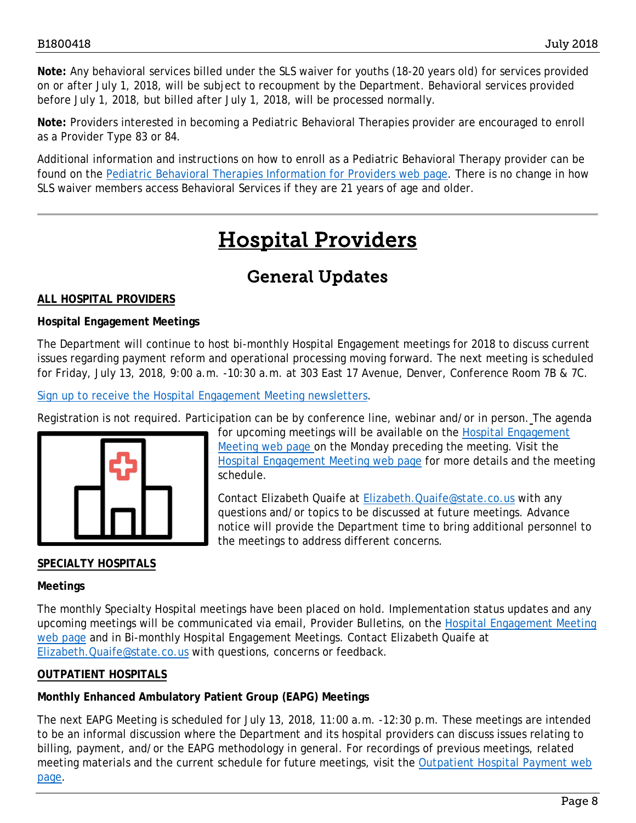**Note:** Any behavioral services billed under the SLS waiver for youths (18-20 years old) for services provided on or after July 1, 2018, will be subject to recoupment by the Department. Behavioral services provided before July 1, 2018, but billed after July 1, 2018, will be processed normally.

**Note:** Providers interested in becoming a Pediatric Behavioral Therapies provider are encouraged to enroll as a Provider Type 83 or 84.

Additional information and instructions on how to enroll as a Pediatric Behavioral Therapy provider can be found on the [Pediatric Behavioral Therapies Information for Providers web page.](https://www.colorado.gov/pacific/hcpf/pediatric-behavioral-therapies-information-providers) There is no change in how SLS waiver members access Behavioral Services if they are 21 years of age and older.

# Hospital Providers

## General Updates

### <span id="page-7-1"></span><span id="page-7-0"></span>**ALL HOSPITAL PROVIDERS**

### **Hospital Engagement Meetings**

The Department will continue to host bi-monthly Hospital Engagement meetings for 2018 to discuss current issues regarding payment reform and operational processing moving forward. The next meeting is scheduled for Friday, July 13, 2018, 9:00 a.m. -10:30 a.m. at 303 East 17 Avenue, Denver, Conference Room 7B & 7C.

[Sign up to receive the Hospital Engagement Meeting newsletters.](https://visitor.r20.constantcontact.com/manage/optin?v=001HfxrbpGNWZ0lZnPp6t3PG2s9XPNl8ZvgFdjsKvSnhIy8z9JmHyp6DeoLJ3saT6x0SeqRR1ub149uoXxe1ok4jTzfMSQ0BN7S5vcLiRO7gdY%3D)

Registration is not required. Participation can be by conference line, webinar and/or in person. The agenda



### **SPECIALTY HOSPITALS**

### **Meetings**

for upcoming meetings will be available on the [Hospital Engagement](https://www.colorado.gov/pacific/hcpf/hospital-engagement-meetings)  [Meeting web page](https://www.colorado.gov/pacific/hcpf/hospital-engagement-meetings) on the Monday preceding the meeting. Visit the [Hospital Engagement Meeting web page](https://www.colorado.gov/pacific/hcpf/hospital-engagement-meetings) for more details and the meeting schedule.

Contact Elizabeth Quaife at [Elizabeth.Quaife@state.co.us](mailto:Elizabeth.Quaife@state.co.us) with any questions and/or topics to be discussed at future meetings. Advance notice will provide the Department time to bring additional personnel to the meetings to address different concerns.

The monthly Specialty Hospital meetings have been placed on hold. Implementation status updates and any upcoming meetings will be communicated via email, Provider Bulletins, on the [Hospital Engagement Meeting](https://www.colorado.gov/pacific/hcpf/hospital-engagement-meetings)  [web page](https://www.colorado.gov/pacific/hcpf/hospital-engagement-meetings) and in Bi-monthly Hospital Engagement Meetings. Contact Elizabeth Quaife at [Elizabeth.Quaife@state.co.us](mailto:Elizabeth.Quaife@state.co.us) with questions, concerns or feedback.

### **OUTPATIENT HOSPITALS**

### **Monthly Enhanced Ambulatory Patient Group (EAPG) Meetings**

The next EAPG Meeting is scheduled for July 13, 2018, 11:00 a.m. -12:30 p.m. These meetings are intended to be an informal discussion where the Department and its hospital providers can discuss issues relating to billing, payment, and/or the EAPG methodology in general. For recordings of previous meetings, related meeting materials and the current schedule for future meetings, visit the [Outpatient Hospital Payment web](https://www.colorado.gov/pacific/hcpf/outpatient-hospital-payment)  [page.](https://www.colorado.gov/pacific/hcpf/outpatient-hospital-payment)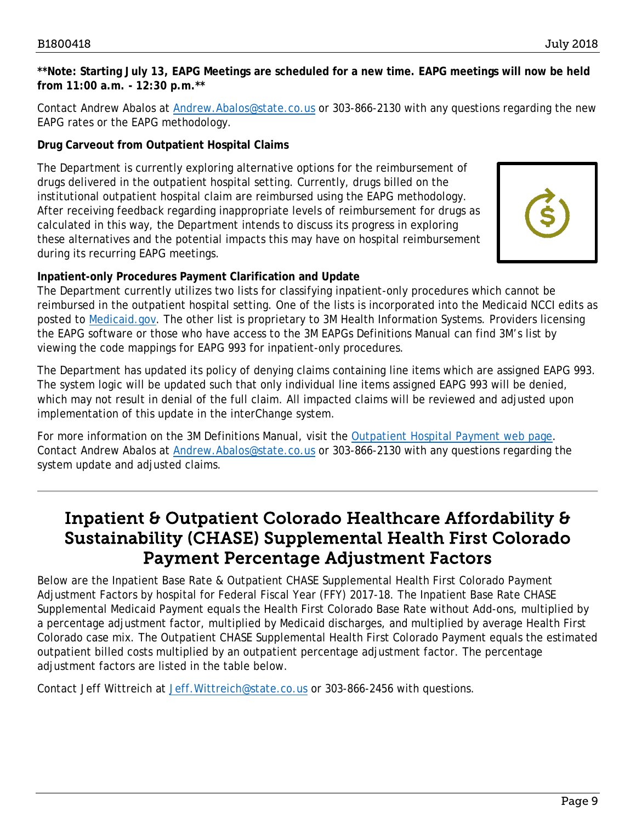**\*\*Note: Starting July 13, EAPG Meetings are scheduled for a new time. EAPG meetings will now be held from 11:00 a.m. - 12:30 p.m.\*\***

Contact Andrew Abalos at Andrew. Abalos@state.co.us or 303-866-2130 with any questions regarding the new EAPG rates or the EAPG methodology.

### **Drug Carveout from Outpatient Hospital Claims**

The Department is currently exploring alternative options for the reimbursement of drugs delivered in the outpatient hospital setting. Currently, drugs billed on the institutional outpatient hospital claim are reimbursed using the EAPG methodology. After receiving feedback regarding inappropriate levels of reimbursement for drugs as calculated in this way, the Department intends to discuss its progress in exploring these alternatives and the potential impacts this may have on hospital reimbursement during its recurring EAPG meetings.



### **Inpatient-only Procedures Payment Clarification and Update**

The Department currently utilizes two lists for classifying inpatient-only procedures which cannot be reimbursed in the outpatient hospital setting. One of the lists is incorporated into the Medicaid NCCI edits as posted to Medicaid.gov. The other list is proprietary to 3M Health Information Systems. Providers licensing the EAPG software or those who have access to the 3M EAPGs Definitions Manual can find 3M's list by viewing the code mappings for EAPG 993 for inpatient-only procedures.

The Department has updated its policy of denying claims containing line items which are assigned EAPG 993. The system logic will be updated such that only individual line items assigned EAPG 993 will be denied, which may not result in denial of the full claim. All impacted claims will be reviewed and adjusted upon implementation of this update in the interChange system.

For more information on the 3M Definitions Manual, visit the [Outpatient Hospital Payment web page.](https://www.colorado.gov/pacific/hcpf/outpatient-hospital-payment) Contact Andrew Abalos at Andrew. Abalos@state.co.us or 303-866-2130 with any questions regarding the system update and adjusted claims.

### <span id="page-8-0"></span>Inpatient & Outpatient Colorado Healthcare Affordability & Sustainability (CHASE) Supplemental Health First Colorado Payment Percentage Adjustment Factors

Below are the Inpatient Base Rate & Outpatient CHASE Supplemental Health First Colorado Payment Adjustment Factors by hospital for Federal Fiscal Year (FFY) 2017-18. The Inpatient Base Rate CHASE Supplemental Medicaid Payment equals the Health First Colorado Base Rate without Add-ons, multiplied by a percentage adjustment factor, multiplied by Medicaid discharges, and multiplied by average Health First Colorado case mix. The Outpatient CHASE Supplemental Health First Colorado Payment equals the estimated outpatient billed costs multiplied by an outpatient percentage adjustment factor. The percentage adjustment factors are listed in the table below.

Contact Jeff Wittreich at [Jeff.Wittreich@state.co.us](mailto:Jeff.Wittreich@state.co.us) or 303-866-2456 with questions.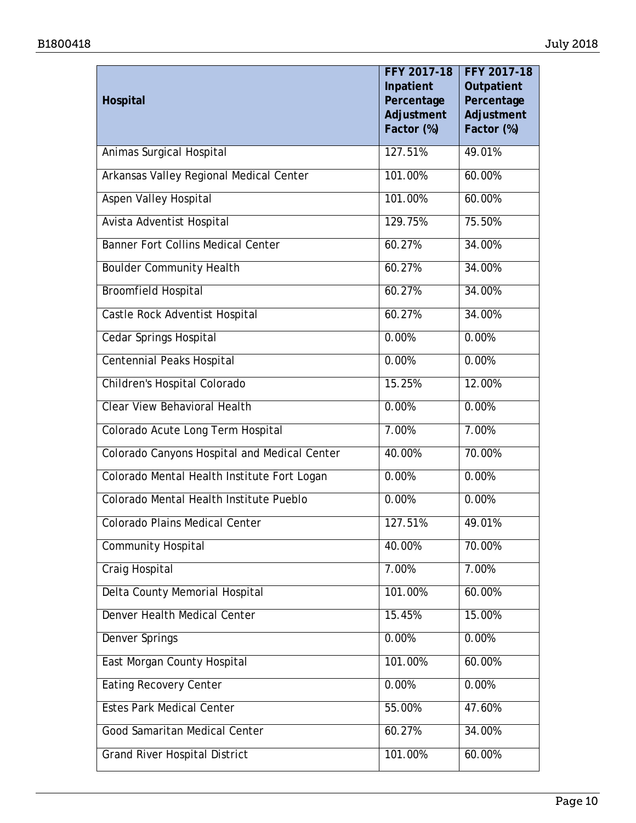| Hospital                                     | FFY 2017-18<br>Inpatient<br>Percentage<br>Adjustment<br>Factor (%) | FFY 2017-18<br>Outpatient<br>Percentage<br>Adjustment<br>Factor (%) |
|----------------------------------------------|--------------------------------------------------------------------|---------------------------------------------------------------------|
| Animas Surgical Hospital                     | 127.51%                                                            | 49.01%                                                              |
| Arkansas Valley Regional Medical Center      | 101.00%                                                            | 60.00%                                                              |
| <b>Aspen Valley Hospital</b>                 | 101.00%                                                            | 60.00%                                                              |
| Avista Adventist Hospital                    | 129.75%                                                            | 75.50%                                                              |
| <b>Banner Fort Collins Medical Center</b>    | 60.27%                                                             | 34.00%                                                              |
| <b>Boulder Community Health</b>              | 60.27%                                                             | 34.00%                                                              |
| <b>Broomfield Hospital</b>                   | 60.27%                                                             | 34.00%                                                              |
| Castle Rock Adventist Hospital               | 60.27%                                                             | 34.00%                                                              |
| <b>Cedar Springs Hospital</b>                | 0.00%                                                              | 0.00%                                                               |
| Centennial Peaks Hospital                    | 0.00%                                                              | 0.00%                                                               |
| Children's Hospital Colorado                 | 15.25%                                                             | 12.00%                                                              |
| <b>Clear View Behavioral Health</b>          | 0.00%                                                              | 0.00%                                                               |
| Colorado Acute Long Term Hospital            | 7.00%                                                              | 7.00%                                                               |
| Colorado Canyons Hospital and Medical Center | 40.00%                                                             | 70.00%                                                              |
| Colorado Mental Health Institute Fort Logan  | 0.00%                                                              | 0.00%                                                               |
| Colorado Mental Health Institute Pueblo      | 0.00%                                                              | 0.00%                                                               |
| <b>Colorado Plains Medical Center</b>        | 127.51%                                                            | 49.01%                                                              |
| <b>Community Hospital</b>                    | 40.00%                                                             | 70.00%                                                              |
| Craig Hospital                               | 7.00%                                                              | 7.00%                                                               |
| Delta County Memorial Hospital               | 101.00%                                                            | 60.00%                                                              |
| Denver Health Medical Center                 | 15.45%                                                             | 15.00%                                                              |
| Denver Springs                               | 0.00%                                                              | 0.00%                                                               |
| East Morgan County Hospital                  | 101.00%                                                            | 60.00%                                                              |
| <b>Eating Recovery Center</b>                | 0.00%                                                              | 0.00%                                                               |
| <b>Estes Park Medical Center</b>             | 55.00%                                                             | 47.60%                                                              |
| <b>Good Samaritan Medical Center</b>         | 60.27%                                                             | 34.00%                                                              |
| <b>Grand River Hospital District</b>         | 101.00%                                                            | 60.00%                                                              |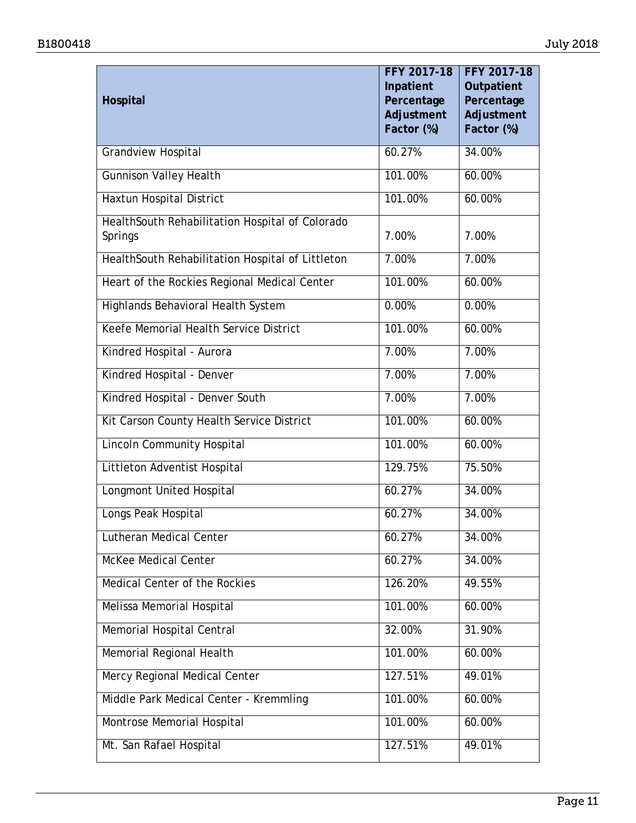| Hospital                                                   | FFY 2017-18<br>Inpatient<br>Percentage<br>Adjustment<br>Factor (%) | FFY 2017-18<br>Outpatient<br>Percentage<br>Adjustment<br>Factor (%) |
|------------------------------------------------------------|--------------------------------------------------------------------|---------------------------------------------------------------------|
| <b>Grandview Hospital</b>                                  | 60.27%                                                             | 34.00%                                                              |
| <b>Gunnison Valley Health</b>                              | 101.00%                                                            | 60.00%                                                              |
| Haxtun Hospital District                                   | 101.00%                                                            | 60.00%                                                              |
| HealthSouth Rehabilitation Hospital of Colorado<br>Springs | 7.00%                                                              | 7.00%                                                               |
| HealthSouth Rehabilitation Hospital of Littleton           | 7.00%                                                              | 7.00%                                                               |
| Heart of the Rockies Regional Medical Center               | 101.00%                                                            | 60.00%                                                              |
| <b>Highlands Behavioral Health System</b>                  | 0.00%                                                              | 0.00%                                                               |
| Keefe Memorial Health Service District                     | 101.00%                                                            | 60.00%                                                              |
| Kindred Hospital - Aurora                                  | 7.00%                                                              | 7.00%                                                               |
| Kindred Hospital - Denver                                  | 7.00%                                                              | 7.00%                                                               |
| Kindred Hospital - Denver South                            | 7.00%                                                              | 7.00%                                                               |
| Kit Carson County Health Service District                  | 101.00%                                                            | 60.00%                                                              |
| <b>Lincoln Community Hospital</b>                          | 101.00%                                                            | 60.00%                                                              |
| Littleton Adventist Hospital                               | 129.75%                                                            | 75.50%                                                              |
| <b>Longmont United Hospital</b>                            | 60.27%                                                             | 34.00%                                                              |
| Longs Peak Hospital                                        | 60.27%                                                             | 34.00%                                                              |
| <b>Lutheran Medical Center</b>                             | 60.27%                                                             | 34.00%                                                              |
| McKee Medical Center                                       | 60.27%                                                             | 34.00%                                                              |
| Medical Center of the Rockies                              | 126.20%                                                            | 49.55%                                                              |
| Melissa Memorial Hospital                                  | 101.00%                                                            | 60.00%                                                              |
| Memorial Hospital Central                                  | 32.00%                                                             | 31.90%                                                              |
| Memorial Regional Health                                   | 101.00%                                                            | 60.00%                                                              |
| Mercy Regional Medical Center                              | 127.51%                                                            | 49.01%                                                              |
| Middle Park Medical Center - Kremmling                     | 101.00%                                                            | 60.00%                                                              |
| Montrose Memorial Hospital                                 | 101.00%                                                            | 60.00%                                                              |
| Mt. San Rafael Hospital                                    | 127.51%                                                            | 49.01%                                                              |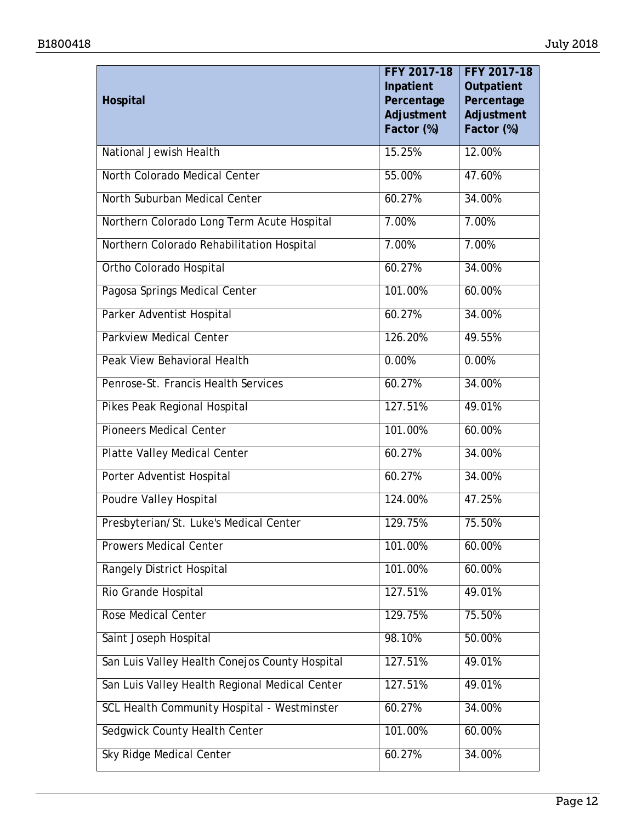| Hospital                                       | FFY 2017-18<br>Inpatient<br>Percentage<br>Adjustment<br>Factor (%) | FFY 2017-18<br>Outpatient<br>Percentage<br>Adjustment<br>Factor (%) |
|------------------------------------------------|--------------------------------------------------------------------|---------------------------------------------------------------------|
| National Jewish Health                         | 15.25%                                                             | 12.00%                                                              |
| North Colorado Medical Center                  | 55.00%                                                             | 47.60%                                                              |
| North Suburban Medical Center                  | 60.27%                                                             | 34.00%                                                              |
| Northern Colorado Long Term Acute Hospital     | 7.00%                                                              | 7.00%                                                               |
| Northern Colorado Rehabilitation Hospital      | 7.00%                                                              | 7.00%                                                               |
| Ortho Colorado Hospital                        | 60.27%                                                             | 34.00%                                                              |
| Pagosa Springs Medical Center                  | 101.00%                                                            | 60.00%                                                              |
| Parker Adventist Hospital                      | 60.27%                                                             | 34.00%                                                              |
| <b>Parkview Medical Center</b>                 | 126.20%                                                            | 49.55%                                                              |
| Peak View Behavioral Health                    | 0.00%                                                              | 0.00%                                                               |
| Penrose-St. Francis Health Services            | 60.27%                                                             | 34.00%                                                              |
| Pikes Peak Regional Hospital                   | 127.51%                                                            | 49.01%                                                              |
| <b>Pioneers Medical Center</b>                 | 101.00%                                                            | 60.00%                                                              |
| <b>Platte Valley Medical Center</b>            | 60.27%                                                             | 34.00%                                                              |
| Porter Adventist Hospital                      | 60.27%                                                             | 34.00%                                                              |
| Poudre Valley Hospital                         | 124.00%                                                            | 47.25%                                                              |
| Presbyterian/St. Luke's Medical Center         | 129.75%                                                            | 75.50%                                                              |
| <b>Prowers Medical Center</b>                  | 101.00%                                                            | 60.00%                                                              |
| <b>Rangely District Hospital</b>               | 101.00%                                                            | 60.00%                                                              |
| Rio Grande Hospital                            | 127.51%                                                            | 49.01%                                                              |
| <b>Rose Medical Center</b>                     | 129.75%                                                            | 75.50%                                                              |
| Saint Joseph Hospital                          | 98.10%                                                             | 50.00%                                                              |
| San Luis Valley Health Conejos County Hospital | 127.51%                                                            | 49.01%                                                              |
| San Luis Valley Health Regional Medical Center | 127.51%                                                            | 49.01%                                                              |
| SCL Health Community Hospital - Westminster    | 60.27%                                                             | 34.00%                                                              |
| Sedgwick County Health Center                  | 101.00%                                                            | 60.00%                                                              |
| <b>Sky Ridge Medical Center</b>                | 60.27%                                                             | 34.00%                                                              |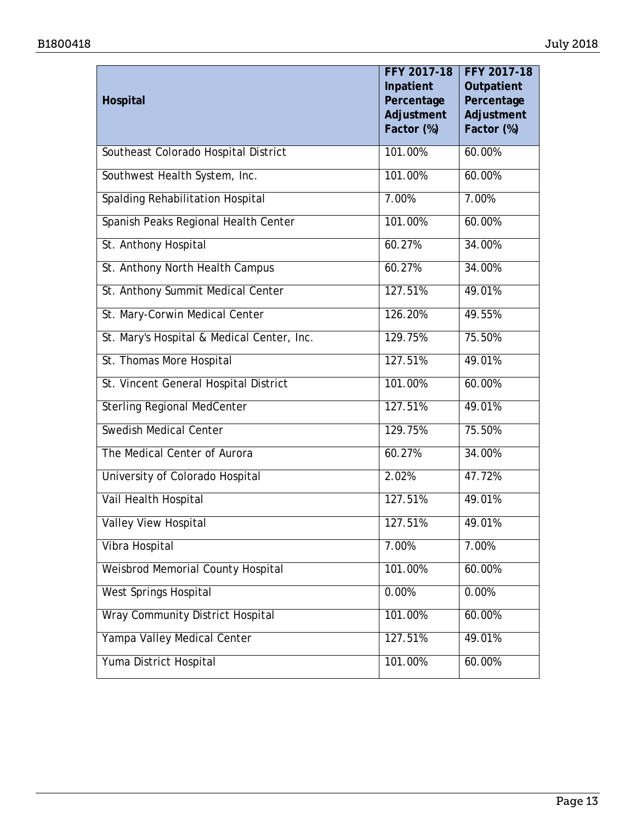| Hospital                                   | FFY 2017-18<br>Inpatient<br>Percentage<br>Adjustment<br>Factor (%) | FFY 2017-18<br>Outpatient<br>Percentage<br>Adjustment<br>Factor (%) |
|--------------------------------------------|--------------------------------------------------------------------|---------------------------------------------------------------------|
| Southeast Colorado Hospital District       | 101.00%                                                            | 60.00%                                                              |
| Southwest Health System, Inc.              | 101.00%                                                            | 60.00%                                                              |
| Spalding Rehabilitation Hospital           | 7.00%                                                              | 7.00%                                                               |
| Spanish Peaks Regional Health Center       | 101.00%                                                            | 60.00%                                                              |
| St. Anthony Hospital                       | 60.27%                                                             | 34.00%                                                              |
| St. Anthony North Health Campus            | 60.27%                                                             | 34.00%                                                              |
| St. Anthony Summit Medical Center          | 127.51%                                                            | 49.01%                                                              |
| St. Mary-Corwin Medical Center             | 126.20%                                                            | 49.55%                                                              |
| St. Mary's Hospital & Medical Center, Inc. | 129.75%                                                            | 75.50%                                                              |
| St. Thomas More Hospital                   | 127.51%                                                            | 49.01%                                                              |
| St. Vincent General Hospital District      | 101.00%                                                            | 60.00%                                                              |
| <b>Sterling Regional MedCenter</b>         | 127.51%                                                            | 49.01%                                                              |
| <b>Swedish Medical Center</b>              | 129.75%                                                            | 75.50%                                                              |
| The Medical Center of Aurora               | 60.27%                                                             | 34.00%                                                              |
| University of Colorado Hospital            | 2.02%                                                              | 47.72%                                                              |
| Vail Health Hospital                       | 127.51%                                                            | 49.01%                                                              |
| <b>Valley View Hospital</b>                | 127.51%                                                            | 49.01%                                                              |
| <b>Vibra Hospital</b>                      | 7.00%                                                              | 7.00%                                                               |
| Weisbrod Memorial County Hospital          | 101.00%                                                            | 60.00%                                                              |
| <b>West Springs Hospital</b>               | 0.00%                                                              | 0.00%                                                               |
| <b>Wray Community District Hospital</b>    | 101.00%                                                            | 60.00%                                                              |
| Yampa Valley Medical Center                | 127.51%                                                            | 49.01%                                                              |
| Yuma District Hospital                     | 101.00%                                                            | 60.00%                                                              |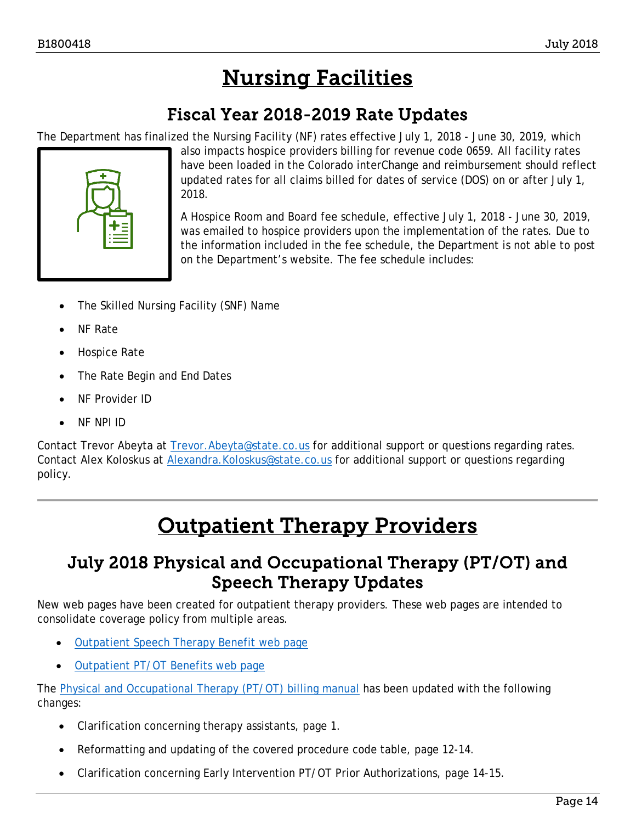## Nursing Facilities

### Fiscal Year 2018-2019 Rate Updates

<span id="page-13-2"></span><span id="page-13-0"></span>The Department has finalized the Nursing Facility (NF) rates effective July 1, 2018 - June 30, 2019, which



also impacts hospice providers billing for revenue code 0659. All facility rates have been loaded in the Colorado interChange and reimbursement should reflect updated rates for all claims billed for dates of service (DOS) on or after July 1, 2018.

A Hospice Room and Board fee schedule, effective July 1, 2018 - June 30, 2019, was emailed to hospice providers upon the implementation of the rates. Due to the information included in the fee schedule, the Department is not able to post on the Department's website. The fee schedule includes:

- The Skilled Nursing Facility (SNF) Name
- NF Rate
- Hospice Rate
- The Rate Begin and End Dates
- NF Provider ID
- NF NPI ID

Contact Trevor Abeyta at Trevor. Abeyta@state.co.us for additional support or questions regarding rates. Contact Alex Koloskus at [Alexandra.Koloskus@state.co.us](mailto:Alexandra.Koloskus@state.co.us) for additional support or questions regarding policy.

## Outpatient Therapy Providers

### <span id="page-13-3"></span><span id="page-13-1"></span>July 2018 Physical and Occupational Therapy (PT/OT) and Speech Therapy Updates

New web pages have been created for outpatient therapy providers. These web pages are intended to consolidate coverage policy from multiple areas.

- [Outpatient Speech Therapy Benefit web page](https://www.colorado.gov/pacific/hcpf/outpatient-speech-therapy-benefit-0)
- [Outpatient PT/OT Benefits web page](https://www.colorado.gov/pacific/hcpf/outpatient-ptot-benefits)

The [Physical and Occupational Therapy \(PT/OT\) billing manual](https://www.colorado.gov/pacific/sites/default/files/CMS1500_PT_OT%20v1_8_1.pdf) has been updated with the following changes:

- Clarification concerning therapy assistants, page 1.
- Reformatting and updating of the covered procedure code table, page 12-14.
- Clarification concerning Early Intervention PT/OT Prior Authorizations, page 14-15.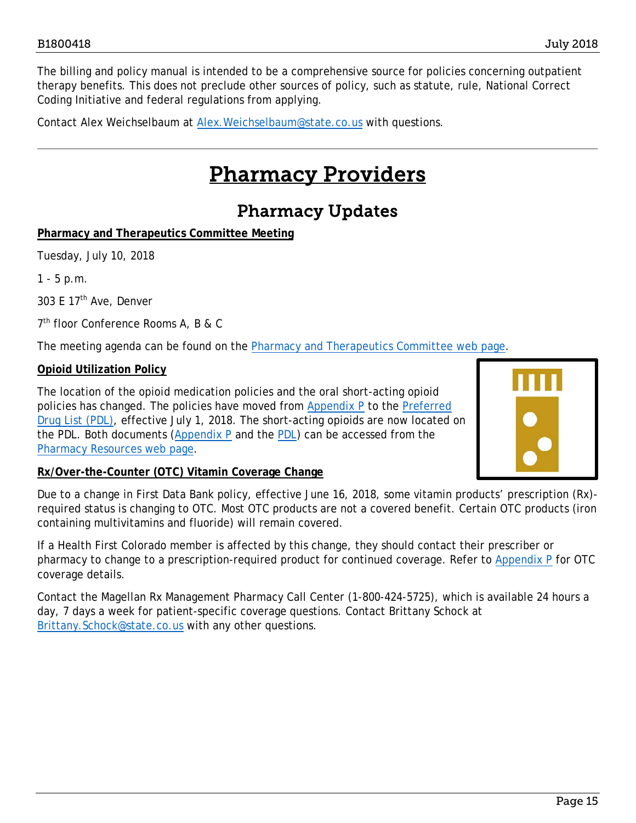The billing and policy manual is intended to be a comprehensive source for policies concerning outpatient therapy benefits. This does not preclude other sources of policy, such as statute, rule, National Correct Coding Initiative and federal regulations from applying.

<span id="page-14-1"></span>Contact Alex Weichselbaum at [Alex.Weichselbaum@state.co.us](mailto:Alex.Weichselbaum@state.co.us) with questions.

## Pharmacy Providers

## Pharmacy Updates

### <span id="page-14-0"></span>**Pharmacy and Therapeutics Committee Meeting**

Tuesday, July 10, 2018

1 - 5 p.m.

303 E 17<sup>th</sup> Ave, Denver

7<sup>th</sup> floor Conference Rooms A, B & C

The meeting agenda can be found on the [Pharmacy and Therapeutics Committee web page.](https://www.colorado.gov/hcpf/pharmacy-and-therapeutics-committee)

### **Opioid Utilization Policy**

The location of the opioid medication policies and the oral short-acting opioid policies has changed. The policies have moved from [Appendix P](https://www.colorado.gov/pacific/sites/default/files/Appendix%20P%20Effective%2007-01-18%20%28002%29.pdf) to the Preferred [Drug List \(PDL\),](https://www.colorado.gov/pacific/sites/default/files/PDL%20effective%2007-01-2018%20final2_1.pdf) effective July 1, 2018. The short-acting opioids are now located on the PDL. Both documents [\(Appendix P](https://www.colorado.gov/pacific/sites/default/files/Appendix%20P%20Effective%2007-01-18%20%28002%29.pdf) and the [PDL\)](https://www.colorado.gov/pacific/sites/default/files/PDL%20effective%2007-01-2018%20final2_1.pdf) can be accessed from the [Pharmacy Resources web page.](https://www.colorado.gov/hcpf/pharmacy-resources)



### **Rx/Over-the-Counter (OTC) Vitamin Coverage Change**

Due to a change in First Data Bank policy, effective June 16, 2018, some vitamin products' prescription (Rx) required status is changing to OTC. Most OTC products are not a covered benefit. Certain OTC products (iron containing multivitamins and fluoride) will remain covered.

If a Health First Colorado member is affected by this change, they should contact their prescriber or pharmacy to change to a prescription-required product for continued coverage. Refer to [Appendix P](https://www.colorado.gov/pacific/sites/default/files/Appendix%20P-PA%20Criteria%20for%20Physicians%20and%20Pharmacists%20v1_2.pdf) for OTC coverage details.

Contact the Magellan Rx Management Pharmacy Call Center (1-800-424-5725), which is available 24 hours a day, 7 days a week for patient-specific coverage questions. Contact Brittany Schock at [Brittany.Schock@state.co.us](mailto:Brittany.Schock@state.co.us) with any other questions.